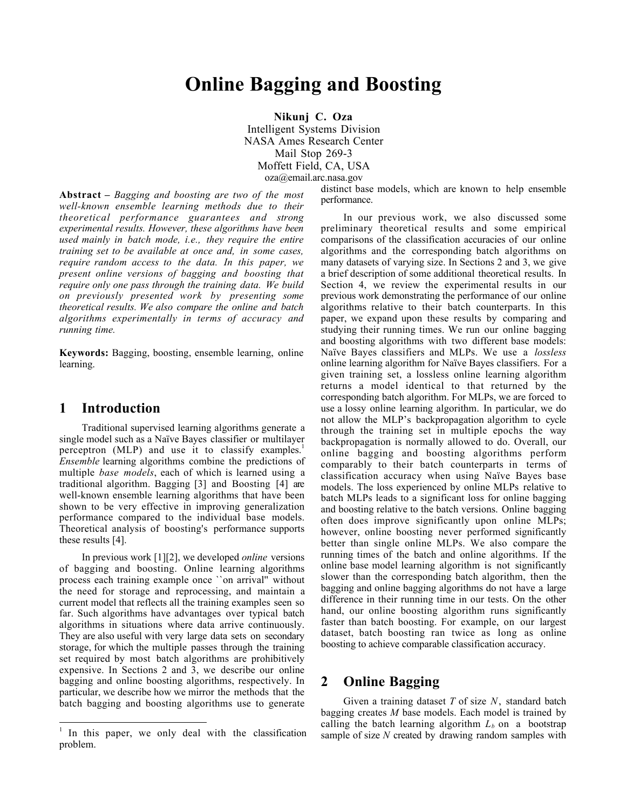# Online Bagging and Boosting

Nikunj C. Oza Intelligent Systems Division NASA Ames Research Center Mail Stop 269-3 Moffett Field, CA, USA oza@email.arc.nasa.gov

Abstract *– Bagging and boosting are two of the most well-known ensemble learning methods due to their theoretical performance guarantees and strong experimental results. However, these algorithms have been used mainly in batch mode, i.e., they require the entire training set to be available at once and, in some cases, require random access to the data. In this paper, we present online versions of bagging and boosting that require only one pass through the training data. We build on previously presented work by presenting some theoretical results. We also compare the online and batch algorithms experimentally in terms of accuracy and running time.*

Keywords: Bagging, boosting, ensemble learning, online learning.

## 1 Introduction

-

Traditional supervised learning algorithms generate a single model such as a Naïve Bayes classifier or multilayer perceptron (MLP) and use it to classify examples.<sup>1</sup> *Ensemble* learning algorithms combine the predictions of multiple *base models*, each of which is learned using a traditional algorithm. Bagging [3] and Boosting [4] are well-known ensemble learning algorithms that have been shown to be very effective in improving generalization performance compared to the individual base models. Theoretical analysis of boosting's performance supports these results [4].

In previous work [1][2], we developed *online* versions of bagging and boosting. Online learning algorithms process each training example once ``on arrival'' without the need for storage and reprocessing, and maintain a current model that reflects all the training examples seen so far. Such algorithms have advantages over typical batch algorithms in situations where data arrive continuously. They are also useful with very large data sets on secondary storage, for which the multiple passes through the training set required by most batch algorithms are prohibitively expensive. In Sections 2 and 3, we describe our online bagging and online boosting algorithms, respectively. In particular, we describe how we mirror the methods that the batch bagging and boosting algorithms use to generate

distinct base models, which are known to help ensemble performance.

In our previous work, we also discussed some preliminary theoretical results and some empirical comparisons of the classification accuracies of our online algorithms and the corresponding batch algorithms on many datasets of varying size. In Sections 2 and 3, we give a brief description of some additional theoretical results. In Section 4, we review the experimental results in our previous work demonstrating the performance of our online algorithms relative to their batch counterparts. In this paper, we expand upon these results by comparing and studying their running times. We run our online bagging and boosting algorithms with two different base models: Naïve Bayes classifiers and MLPs. We use a *lossless* online learning algorithm for Naïve Bayes classifiers. For a given training set, a lossless online learning algorithm returns a model identical to that returned by the corresponding batch algorithm. For MLPs, we are forced to use a lossy online learning algorithm. In particular, we do not allow the MLP's backpropagation algorithm to cycle through the training set in multiple epochs the way backpropagation is normally allowed to do. Overall, our online bagging and boosting algorithms perform comparably to their batch counterparts in terms of classification accuracy when using Naïve Bayes base models. The loss experienced by online MLPs relative to batch MLPs leads to a significant loss for online bagging and boosting relative to the batch versions. Online bagging often does improve significantly upon online MLPs; however, online boosting never performed significantly better than single online MLPs. We also compare the running times of the batch and online algorithms. If the online base model learning algorithm is not significantly slower than the corresponding batch algorithm, then the bagging and online bagging algorithms do not have a large difference in their running time in our tests. On the other hand, our online boosting algorithm runs significantly faster than batch boosting. For example, on our largest dataset, batch boosting ran twice as long as online boosting to achieve comparable classification accuracy.

# 2 Online Bagging

Given a training dataset *T* of size *N*, standard batch bagging creates *M* base models. Each model is trained by calling the batch learning algorithm  $L_b$  on a bootstrap sample of size *N* created by drawing random samples with

 $\frac{1}{1}$  In this paper, we only deal with the classification problem.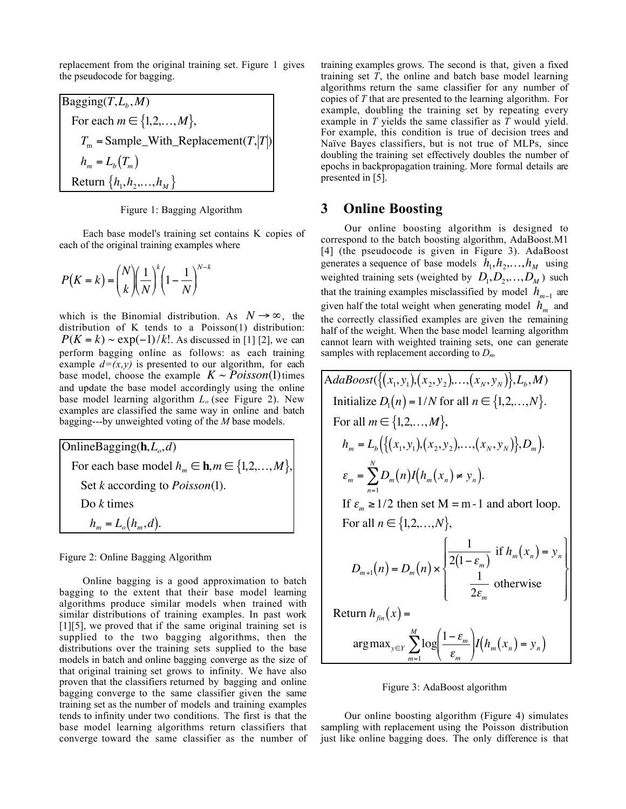replacement from the original training set. Figure 1 gives the pseudocode for bagging.

| $\text{Bagging}(T, L_h, M)$            |
|----------------------------------------|
| For each $m \in \{1, 2, \ldots, M\}$ , |
| $T_m$ = Sample_With_Replacement(T, T ) |
| $h_m = L_b(T_m)$                       |
| Return $\{h_1, h_2, \ldots, h_M\}$     |

Figure 1: Bagging Algorithm

Each base model's training set contains K copies of each of the original training examples where

$$
P(K = k) = \binom{N}{k} \left(\frac{1}{N}\right)^k \left(1 - \frac{1}{N}\right)^{N-k}
$$

which is the Binomial distribution. As  $N \rightarrow \infty$ , the example  $d=(x,y)$  is presented to our algorithm, for each distribution of K tends to a Poisson(1) distribution:  $P(K = k) \sim \exp(-1)/k!$ . As discussed in [1] [2], we can perform bagging online as follows: as each training base model, choose the example  $K \sim Poisson(1)$  times bagging---by unweighted voting of the *M* base models. and update the base model accordingly using the online base model learning algorithm *Lo* (see Figure 2). New examples are classified the same way in online and batch

 $\overline{\phantom{a}}$ OnlineBagging( $h$ , $L$ <sub>o</sub>, $d$ ) For each base model  $h_m \in \mathbf{h}, m \in \{1, 2, ..., M\},\$  Set *k* according to *Poisson*(1). Do *k* times  $h_m = L_o(h_m, d)$ .

Figure 2: Online Bagging Algorithm

Online bagging is a good approximation to batch bagging to the extent that their base model learning algorithms produce similar models when trained with similar distributions of training examples. In past work [1][5], we proved that if the same original training set is supplied to the two bagging algorithms, then the distributions over the training sets supplied to the base models in batch and online bagging converge as the size of that original training set grows to infinity. We have also proven that the classifiers returned by bagging and online bagging converge to the same classifier given the same training set as the number of models and training examples<br>tonds to infinity under two conditions. The first is that the tends to infinity under two conditions. The first is that the base model learning algorithms return classifiers that converge toward the same classifier as the number of

training examples grows. The second is that, given a fixed training set *T*, the online and batch base model learning algorithms return the same classifier for any number of copies of *T* that are presented to the learning algorithm. For example, doubling the training set by repeating every example in *T* yields the same classifier as *T* would yield. For example, this condition is true of decision trees and Naïve Bayes classifiers, but is not true of MLPs, since doubling the training set effectively doubles the number of epochs in backpropagation training. More formal details are presented in [5].

# 3 Online Boosting

Our online boosting algorithm is designed to correspond to the batch boosting algorithm, AdaBoost.M1 [4] (the pseudocode is given in Figure 3). AdaBoost generates a sequence of base models  $h_1, h_2, \ldots, h_M$  using the correctly classified examples are given the remaining weighted training sets (weighted by  $D_1, D_2, \ldots, D_M$ ) such half of the weight. When the base model learning algorithm that the training examples misclassified by model  $h_{m-1}$  are cannot learn with weighted training sets, one can generate given half the total weight when generating model  $h_m$  and samples with replacement according to  $D_m$ .

$$
\text{AdaBoost}\left(\left\{(x_1, y_1), (x_2, y_2), \dots, (x_N, y_N)\right\}, L_b, M\right)
$$
\n
$$
\text{Initialize } D_1(n) = 1/N \text{ for all } n \in \{1, 2, \dots, N\}.
$$
\n
$$
\text{For all } m \in \{1, 2, \dots, M\},
$$
\n
$$
h_m = L_b\left(\left\{(x_1, y_1), (x_2, y_2), \dots, (x_N, y_N)\right\}, D_m\right).
$$
\n
$$
\varepsilon_m = \sum_{n=1}^N D_m(n)I\left(h_m(x_n) \neq y_n\right).
$$
\n
$$
\text{If } \varepsilon_m \ge 1/2 \text{ then set } M = m - 1 \text{ and abort loop.}
$$
\n
$$
\text{For all } n \in \{1, 2, \dots, N\},
$$
\n
$$
D_{m+1}(n) = D_m(n) \times \begin{cases} \frac{1}{2(1 - \varepsilon_m)} & \text{if } h_m(x_n) = y_n \\ \frac{1}{2\varepsilon_m} & \text{otherwise} \end{cases}
$$
\n
$$
\text{Return } h_{fin}(x) = \arg\max_{y \in Y} \sum_{m=1}^M \log \left(\frac{1 - \varepsilon_m}{\varepsilon_m}\right) I\left(h_m(x_n) = y_n\right)
$$

Figure 3: AdaBoost algorithm

Our online boosting algorithm (Figure 4) simulates sampling with replacement using the Poisson distribution just like online bagging does. The only difference is that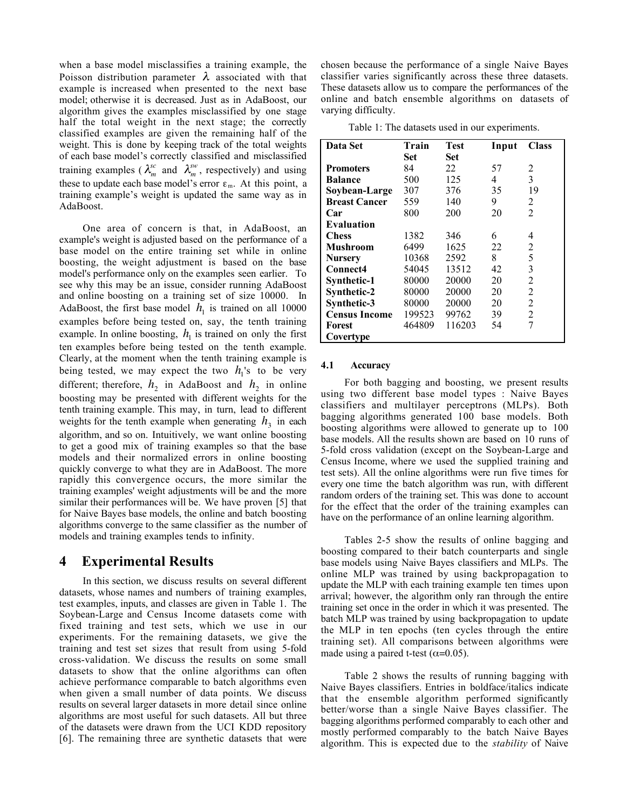when a base model misclassifies a training example, the Poisson distribution parameter  $\lambda$  associated with that half the total weight in the flext stage, the correctly<br>classified examples are given the remaining half of the example is increased when presented to the next base model; otherwise it is decreased. Just as in AdaBoost, our algorithm gives the examples misclassified by one stage half the total weight in the next stage; the correctly weight. This is done by keeping track of the total weights of each base model's correctly classified and misclassified training examples ( $\lambda_m^{sc}$  and  $\lambda_m^{sw}$ , respectively) and using these to update each base model's error  $\varepsilon_m$ . At this point, a training example's weight is updated the same way as in AdaBoost.

One area of concern is that, in AdaBoost, an example's weight is adjusted based on the performance of a base model on the entire training set while in online boosting, the weight adjustment is based on the base model's performance only on the examples seen earlier. To see why this may be an issue, consider running AdaBoost and online boosting on a training set of size 10000. In AdaBoost, the first base model  $h_1$  is trained on all 10000 Clearly, at the moment when the tenth training example is examples before being tested on, say, the tenth training example. In online boosting,  $h_1$  is trained on only the first different; therefore,  $h_2$  in AdaBoost and  $h_2$  in online ten examples before being tested on the tenth example. being tested, we may expect the two  $h_1$ 's to be very weights for the tenth example when generating  $h_3$  in each algorithm, and so on. Intuitively, we want online boosting boosting may be presented with different weights for the tenth training example. This may, in turn, lead to different equickly converge to what they are in Adaboost. The more rapidly this convergence occurs, the more similar the to get a good mix of training examples so that the base models and their normalized errors in online boosting quickly converge to what they are in AdaBoost. The more training examples' weight adjustments will be and the more similar their performances will be. We have proven [5] that for Naive Bayes base models, the online and batch boosting algorithms converge to the same classifier as the number of models and training examples tends to infinity.

## 4 Experimental Results

In this section, we discuss results on several different datasets, whose names and numbers of training examples, test examples, inputs, and classes are given in Table 1. The Soybean-Large and Census Income datasets come with fixed training and test sets, which we use in our experiments. For the remaining datasets, we give the training and test set sizes that result from using 5-fold cross-validation. We discuss the results on some small datasets to show that the online algorithms can often achieve performance comparable to batch algorithms even when given a small number of data points. We discuss results on several larger datasets in more detail since online algorithms are most useful for such datasets. All but three of the datasets were drawn from the UCI KDD repository [6]. The remaining three are synthetic datasets that were

chosen because the performance of a single Naive Bayes classifier varies significantly across these three datasets. These datasets allow us to compare the performances of the online and batch ensemble algorithms on datasets of varying difficulty.

Table 1: The datasets used in our experiments.

| Data Set             | Train  | <b>Test</b> | Input | <b>Class</b>   |
|----------------------|--------|-------------|-------|----------------|
|                      | Set    | Set         |       |                |
| <b>Promoters</b>     | 84     | 22          | 57    | 2              |
| <b>Balance</b>       | 500    | 125         | 4     | 3              |
| Soybean-Large        | 307    | 376         | 35    | 19             |
| <b>Breast Cancer</b> | 559    | 140         | 9     | 2              |
| Car                  | 800    | 200         | 20    | $\overline{2}$ |
| <b>Evaluation</b>    |        |             |       |                |
| <b>Chess</b>         | 1382   | 346         | 6     | 4              |
| <b>Mushroom</b>      | 6499   | 1625        | 22    | 2              |
| <b>Nursery</b>       | 10368  | 2592        | 8     | 5              |
| Connect4             | 54045  | 13512       | 42    | 3              |
| Synthetic-1          | 80000  | 20000       | 20    | 2              |
| Synthetic-2          | 80000  | 20000       | 20    | $\overline{2}$ |
| Synthetic-3          | 80000  | 20000       | 20    | $\overline{2}$ |
| <b>Census Income</b> | 199523 | 99762       | 39    | $\overline{2}$ |
| Forest               | 464809 | 116203      | 54    | 7              |
| Covertype            |        |             |       |                |

#### 4.1 Accuracy

For both bagging and boosting, we present results using two different base model types : Naive Bayes classifiers and multilayer perceptrons (MLPs). Both bagging algorithms generated 100 base models. Both boosting algorithms were allowed to generate up to 100 base models. All the results shown are based on 10 runs of 5-fold cross validation (except on the Soybean-Large and Census Income, where we used the supplied training and test sets). All the online algorithms were run five times for every one time the batch algorithm was run, with different random orders of the training set. This was done to account for the effect that the order of the training examples can have on the performance of an online learning algorithm.

Tables 2-5 show the results of online bagging and boosting compared to their batch counterparts and single base models using Naive Bayes classifiers and MLPs. The online MLP was trained by using backpropagation to update the MLP with each training example ten times upon arrival; however, the algorithm only ran through the entire training set once in the order in which it was presented. The batch MLP was trained by using backpropagation to update the MLP in ten epochs (ten cycles through the entire training set). All comparisons between algorithms were made using a paired t-test ( $\alpha$ =0.05).

Table 2 shows the results of running bagging with Naive Bayes classifiers. Entries in boldface/italics indicate that the ensemble algorithm performed significantly better/worse than a single Naive Bayes classifier. The bagging algorithms performed comparably to each other and mostly performed comparably to the batch Naive Bayes algorithm. This is expected due to the *stability* of Naive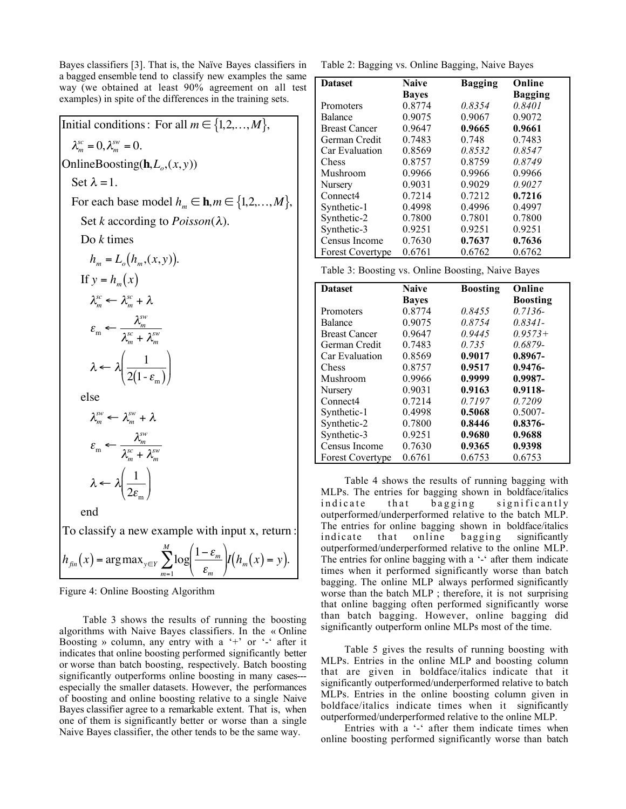Bayes classifiers [3]. That is, the Naïve Bayes classifiers in a bagged ensemble tend to classify new examples the same way (we obtained at least 90% agreement on all test examples) in spite of the differences in the training sets.

Initial conditions: For all 
$$
m \in \{1, 2, ..., M\}
$$
,  
\n $\lambda_m^{sc} = 0, \lambda_m^{sw} = 0$ .  
\nOnlineBoosting( $\mathbf{h}, L_o, (x, y)$ )  
\nSet  $\lambda = 1$ .  
\nFor each base model  $h_m \in \mathbf{h}, m \in \{1, 2, ..., M\}$ ,  
\nSet *k* according to *Poisson*( $\lambda$ ).  
\nDo *k* times  
\n $h_m = L_o(h_m, (x, y))$ .  
\nIf  $y = h_m(x)$   
\n $\lambda_m^{sc} \leftarrow \lambda_m^{sc} + \lambda_m^{sw}$   
\n $\epsilon_m \leftarrow \frac{\lambda_m^{sw}}{\lambda_m^{sc} + \lambda_m^{sw}}$   
\n $\lambda \leftarrow \lambda \left(\frac{1}{2(1 - \epsilon_m)}\right)$ 

else

$$
\lambda_m^{sw} \leftarrow \lambda_m^{sw} + \lambda
$$
\n
$$
\varepsilon_m \leftarrow \frac{\lambda_m^{sw}}{\lambda_m^{sw} + \lambda_m^{sw}}
$$
\n
$$
\lambda \leftarrow \lambda \left(\frac{1}{2\varepsilon_m}\right)
$$

end

To classify a new example with input x, return :

$$
h_{\scriptscriptstyle fin}(x) = \argmax_{\scriptscriptstyle y \in Y} \sum_{m=1}^M \log \biggl( \frac{1 - \varepsilon_m}{\varepsilon_m} \biggr) I\big(h_m(x) = y\big).
$$

Figure 4: Online Boosting Algorithm

Table 3 shows the results of running the boosting algorithms with Naive Bayes classifiers. In the « Online Boosting » column, any entry with a '+' or '-' after it indicates that online boosting performed significantly better or worse than batch boosting, respectively. Batch boosting significantly outperforms online boosting in many cases-- especially the smaller datasets. However, the performances of boosting and online boosting relative to a single Naive Bayes classifier agree to a remarkable extent. That is, when one of them is significantly better or worse than a single Naive Bayes classifier, the other tends to be the same way.

Table 2: Bagging vs. Online Bagging, Naive Bayes

| <b>Dataset</b>          | <b>Naive</b> | <b>Bagging</b> | Online         |
|-------------------------|--------------|----------------|----------------|
|                         | <b>Bayes</b> |                | <b>Bagging</b> |
| <b>Promoters</b>        | 0.8774       | 0.8354         | 0.8401         |
| <b>Balance</b>          | 0.9075       | 0.9067         | 0.9072         |
| <b>Breast Cancer</b>    | 0.9647       | 0.9665         | 0.9661         |
| German Credit           | 0.7483       | 0.748          | 0.7483         |
| Car Evaluation          | 0.8569       | 0.8532         | 0.8547         |
| Chess                   | 0.8757       | 0.8759         | 0.8749         |
| Mushroom                | 0.9966       | 0.9966         | 0.9966         |
| Nursery                 | 0.9031       | 0.9029         | 0.9027         |
| Connect4                | 0.7214       | 0.7212         | 0.7216         |
| Synthetic-1             | 0.4998       | 0.4996         | 0.4997         |
| Synthetic-2             | 0.7800       | 0.7801         | 0.7800         |
| Synthetic-3             | 0.9251       | 0.9251         | 0.9251         |
| Census Income           | 0.7630       | 0.7637         | 0.7636         |
| <b>Forest Covertype</b> | 0.6761       | 0.6762         | 0.6762         |

Table 3: Boosting vs. Online Boosting, Naive Bayes

| <b>Dataset</b>          | <b>Naive</b> | <b>Boosting</b> | Online          |
|-------------------------|--------------|-----------------|-----------------|
|                         | <b>Bayes</b> |                 | <b>Boosting</b> |
| <b>Promoters</b>        | 0.8774       | 0.8455          | $0.7136-$       |
| <b>Balance</b>          | 0.9075       | 0.8754          | $0.8341 -$      |
| <b>Breast Cancer</b>    | 0.9647       | 0.9445          | $0.9573+$       |
| German Credit           | 0.7483       | 0.735           | $0.6879 -$      |
| Car Evaluation          | 0.8569       | 0.9017          | $0.8967 -$      |
| Chess                   | 0.8757       | 0.9517          | $0.9476 -$      |
| Mushroom                | 0.9966       | 0.9999          | 0.9987-         |
| Nursery                 | 0.9031       | 0.9163          | $0.9118 -$      |
| Connect4                | 0.7214       | 0.7197          | 0.7209          |
| Synthetic-1             | 0.4998       | 0.5068          | 0.5007-         |
| Synthetic-2             | 0.7800       | 0.8446          | $0.8376-$       |
| Synthetic-3             | 0.9251       | 0.9680          | 0.9688          |
| Census Income           | 0.7630       | 0.9365          | 0.9398          |
| <b>Forest Covertype</b> | 0.6761       | 0.6753          | 0.6753          |

Table 4 shows the results of running bagging with MLPs. The entries for bagging shown in boldface/italics indicate that bagging significantly outperformed/underperformed relative to the batch MLP. The entries for online bagging shown in boldface/italics indicate that online bagging significantly outperformed/underperformed relative to the online MLP. The entries for online bagging with a '-' after them indicate times when it performed significantly worse than batch bagging. The online MLP always performed significantly worse than the batch MLP ; therefore, it is not surprising that online bagging often performed significantly worse than batch bagging. However, online bagging did significantly outperform online MLPs most of the time.

Table 5 gives the results of running boosting with MLPs. Entries in the online MLP and boosting column that are given in boldface/italics indicate that it significantly outperformed/underperformed relative to batch MLPs. Entries in the online boosting column given in boldface/italics indicate times when it significantly outperformed/underperformed relative to the online MLP.

Entries with a '-' after them indicate times when online boosting performed significantly worse than batch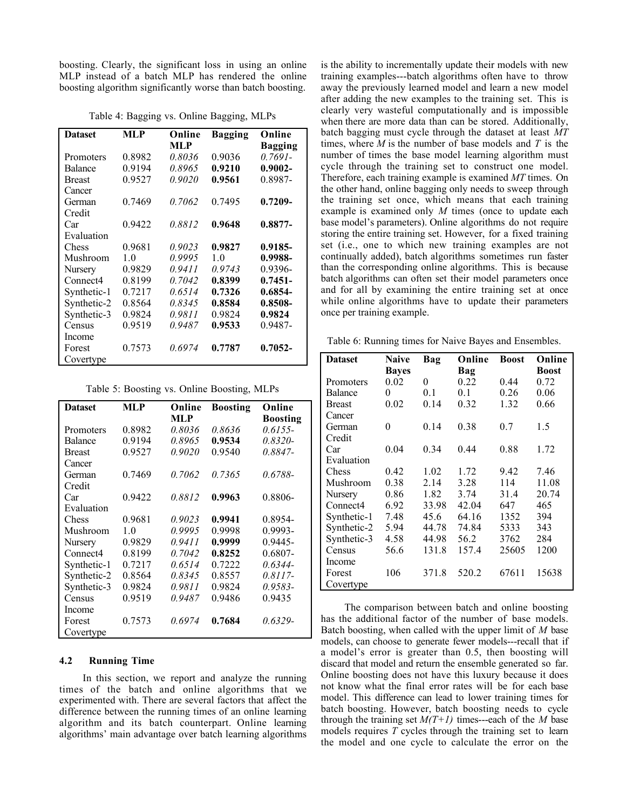boosting. Clearly, the significant loss in using an online MLP instead of a batch MLP has rendered the online boosting algorithm significantly worse than batch boosting.

Table 4: Bagging vs. Online Bagging, MLPs

| <b>Dataset</b> | MLP    | Online | <b>Bagging</b> | Online         |
|----------------|--------|--------|----------------|----------------|
|                |        | MLP    |                | <b>Bagging</b> |
| Promoters      | 0.8982 | 0.8036 | 0.9036         | $0.7691 -$     |
| Balance        | 0.9194 | 0.8965 | 0.9210         | 0.9002-        |
| <b>Breast</b>  | 0.9527 | 0.9020 | 0.9561         | 0.8987-        |
| Cancer         |        |        |                |                |
| German         | 0.7469 | 0.7062 | 0.7495         | $0.7209 -$     |
| Credit         |        |        |                |                |
| Car            | 0.9422 | 0.8812 | 0.9648         | 0.8877-        |
| Evaluation     |        |        |                |                |
| <b>Chess</b>   | 0.9681 | 0.9023 | 0.9827         | $0.9185 -$     |
| Mushroom       | 1.0    | 0.9995 | 1.0            | 0.9988-        |
| Nursery        | 0.9829 | 0.9411 | 0.9743         | 0.9396-        |
| Connect4       | 0.8199 | 0.7042 | 0.8399         | $0.7451 -$     |
| Synthetic-1    | 0.7217 | 0.6514 | 0.7326         | $0.6854 -$     |
| Synthetic-2    | 0.8564 | 0.8345 | 0.8584         | $0.8508 -$     |
| Synthetic-3    | 0.9824 | 0.9811 | 0.9824         | 0.9824         |
| Census         | 0.9519 | 0.9487 | 0.9533         | 0.9487-        |
| Income         |        |        |                |                |
| Forest         | 0.7573 | 0.6974 | 0.7787         | $0.7052 -$     |
| Covertype      |        |        |                |                |

Table 5: Boosting vs. Online Boosting, MLPs

| <b>Dataset</b> | MLP    | Online | <b>Boosting</b> | Online          |
|----------------|--------|--------|-----------------|-----------------|
|                |        | MLP    |                 | <b>Boosting</b> |
| Promoters      | 0.8982 | 0.8036 | 0.8636          | 0.6155-         |
| Balance        | 0.9194 | 0.8965 | 0.9534          | 0.8320-         |
| <b>Breast</b>  | 0.9527 | 0.9020 | 0.9540          | $0.8847 -$      |
| Cancer         |        |        |                 |                 |
| German         | 0.7469 | 0.7062 | 0.7365          | 0.6788-         |
| Credit         |        |        |                 |                 |
| Car            | 0.9422 | 0.8812 | 0.9963          | 0.8806-         |
| Evaluation     |        |        |                 |                 |
| Chess          | 0.9681 | 0.9023 | 0.9941          | 0.8954-         |
| Mushroom       | 1.0    | 0.9995 | 0.9998          | 0.9993-         |
| Nursery        | 0.9829 | 0.9411 | 0.9999          | $0.9445 -$      |
| Connect4       | 0.8199 | 0.7042 | 0.8252          | 0.6807-         |
| Synthetic-1    | 0.7217 | 0.6514 | 0.7222          | $0.6344 -$      |
| Synthetic-2    | 0.8564 | 0.8345 | 0.8557          | $0.8117 -$      |
| Synthetic-3    | 0.9824 | 0.9811 | 0.9824          | $0.9583 -$      |
| Census         | 0.9519 | 0.9487 | 0.9486          | 0.9435          |
| Income         |        |        |                 |                 |
| Forest         | 0.7573 | 0.6974 | 0.7684          | $0.6329 -$      |
| Covertype      |        |        |                 |                 |

#### 4.2 Running Time

In this section, we report and analyze the running times of the batch and online algorithms that we experimented with. There are several factors that affect the difference between the running times of an online learning algorithm and its batch counterpart. Online learning algorithms' main advantage over batch learning algorithms

is the ability to incrementally update their models with new training examples---batch algorithms often have to throw away the previously learned model and learn a new model after adding the new examples to the training set. This is clearly very wasteful computationally and is impossible when there are more data than can be stored. Additionally, batch bagging must cycle through the dataset at least *MT* times, where *M* is the number of base models and *T* is the number of times the base model learning algorithm must cycle through the training set to construct one model. Therefore, each training example is examined *MT* times. On the other hand, online bagging only needs to sweep through the training set once, which means that each training example is examined only *M* times (once to update each base model's parameters). Online algorithms do not require storing the entire training set. However, for a fixed training set (i.e., one to which new training examples are not continually added), batch algorithms sometimes run faster than the corresponding online algorithms. This is because batch algorithms can often set their model parameters once and for all by examining the entire training set at once while online algorithms have to update their parameters once per training example.

Table 6: Running times for Naive Bayes and Ensembles.

| <b>Dataset</b> | <b>Naive</b><br><b>Bayes</b> | Bag   | Online<br>Bag | <b>Boost</b> | Online<br><b>Boost</b> |
|----------------|------------------------------|-------|---------------|--------------|------------------------|
| Promoters      | 0.02                         | 0     | 0.22          | 0.44         | 0.72                   |
| Balance        | 0                            | 0.1   | 0.1           | 0.26         | 0.06                   |
| <b>Breast</b>  | 0.02                         | 0.14  | 0.32          | 1.32         | 0.66                   |
| Cancer         |                              |       |               |              |                        |
| German         | 0                            | 0.14  | 0.38          | 0.7          | 1.5                    |
| Credit         |                              |       |               |              |                        |
| Car            | 0.04                         | 0.34  | 0.44          | 0.88         | 1.72                   |
| Evaluation     |                              |       |               |              |                        |
| Chess          | 0.42                         | 1.02  | 1.72          | 9.42         | 7.46                   |
| Mushroom       | 0.38                         | 2.14  | 3.28          | 114          | 11.08                  |
| Nursery        | 0.86                         | 1.82  | 3.74          | 31.4         | 20.74                  |
| Connect4       | 6.92                         | 33.98 | 42.04         | 647          | 465                    |
| Synthetic-1    | 7.48                         | 45.6  | 64.16         | 1352         | 394                    |
| Synthetic-2    | 5.94                         | 44.78 | 74.84         | 5333         | 343                    |
| Synthetic-3    | 4.58                         | 44.98 | 56.2          | 3762         | 284                    |
| Census         | 56.6                         | 131.8 | 157.4         | 25605        | 1200                   |
| Income         |                              |       |               |              |                        |
| Forest         | 106                          | 371.8 | 520.2         | 67611        | 15638                  |
| Covertype      |                              |       |               |              |                        |

The comparison between batch and online boosting has the additional factor of the number of base models. Batch boosting, when called with the upper limit of *M* base models, can choose to generate fewer models---recall that if a model's error is greater than 0.5, then boosting will discard that model and return the ensemble generated so far. Online boosting does not have this luxury because it does not know what the final error rates will be for each base model. This difference can lead to lower training times for batch boosting. However, batch boosting needs to cycle through the training set  $M(T+1)$  times---each of the *M* base models requires *T* cycles through the training set to learn the model and one cycle to calculate the error on the